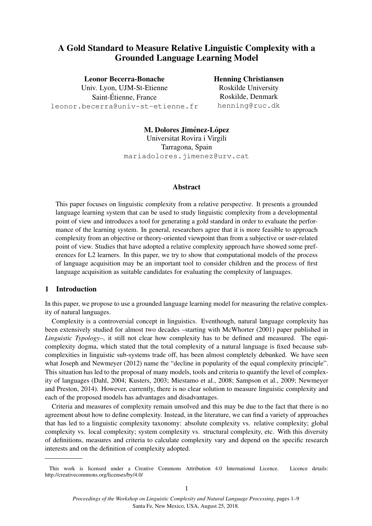# A Gold Standard to Measure Relative Linguistic Complexity with a Grounded Language Learning Model

### Leonor Becerra-Bonache

Univ. Lyon, UJM-St-Etienne Saint-Etienne, France ´ leonor.becerra@univ-st-etienne.fr

## Henning Christiansen Roskilde University Roskilde, Denmark henning@ruc.dk

M. Dolores Jiménez-López Universitat Rovira i Virgili Tarragona, Spain mariadolores.jimenez@urv.cat

## Abstract

This paper focuses on linguistic complexity from a relative perspective. It presents a grounded language learning system that can be used to study linguistic complexity from a developmental point of view and introduces a tool for generating a gold standard in order to evaluate the performance of the learning system. In general, researchers agree that it is more feasible to approach complexity from an objective or theory-oriented viewpoint than from a subjective or user-related point of view. Studies that have adopted a relative complexity approach have showed some preferences for L2 learners. In this paper, we try to show that computational models of the process of language acquisition may be an important tool to consider children and the process of first language acquisition as suitable candidates for evaluating the complexity of languages.

## 1 Introduction

In this paper, we propose to use a grounded language learning model for measuring the relative complexity of natural languages.

Complexity is a controversial concept in linguistics. Eventhough, natural language complexity has been extensively studied for almost two decades –starting with McWhorter (2001) paper published in *Linguistic Typology*–, it still not clear how complexity has to be defined and measured. The equicomplexity dogma, which stated that the total complexity of a natural language is fixed because subcomplexities in linguistic sub-systems trade off, has been almost completely debunked. We have seen what Joseph and Newmeyer (2012) name the "decline in popularity of the equal complexity principle". This situation has led to the proposal of many models, tools and criteria to quantify the level of complexity of languages (Dahl, 2004; Kusters, 2003; Miestamo et al., 2008; Sampson et al., 2009; Newmeyer and Preston, 2014). However, currently, there is no clear solution to measure linguistic complexity and each of the proposed models has advantages and disadvantages.

Criteria and measures of complexity remain unsolved and this may be due to the fact that there is no agreement about how to define complexity. Instead, in the literature, we can find a variety of approaches that has led to a linguistic complexity taxonomy: absolute complexity vs. relative complexity; global complexity vs. local complexity; system complexity vs. structural complexity, etc. With this diversity of definitions, measures and criteria to calculate complexity vary and depend on the specific research interests and on the definition of complexity adopted.

This work is licensed under a Creative Commons Attribution 4.0 International Licence. Licence details: http://creativecommons.org/licenses/by/4.0/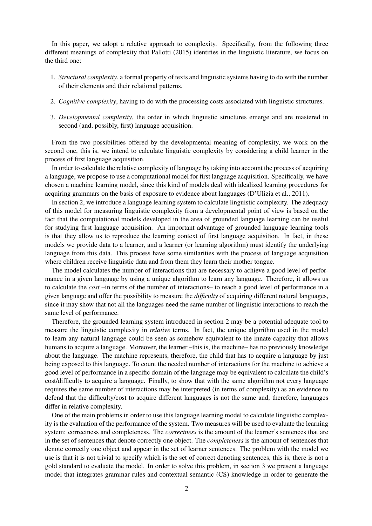In this paper, we adopt a relative approach to complexity. Specifically, from the following three different meanings of complexity that Pallotti (2015) identifies in the linguistic literature, we focus on the third one:

- 1. *Structural complexity*, a formal property of texts and linguistic systems having to do with the number of their elements and their relational patterns.
- 2. *Cognitive complexity*, having to do with the processing costs associated with linguistic structures.
- 3. *Developmental complexity*, the order in which linguistic structures emerge and are mastered in second (and, possibly, first) language acquisition.

From the two possibilities offered by the developmental meaning of complexity, we work on the second one, this is, we intend to calculate linguistic complexity by considering a child learner in the process of first language acquisition.

In order to calculate the relative complexity of language by taking into account the process of acquiring a language, we propose to use a computational model for first language acquisition. Specifically, we have chosen a machine learning model, since this kind of models deal with idealized learning procedures for acquiring grammars on the basis of exposure to evidence about languages (D'Ulizia et al., 2011).

In section 2, we introduce a language learning system to calculate linguistic complexity. The adequacy of this model for measuring linguistic complexity from a developmental point of view is based on the fact that the computational models developed in the area of grounded language learning can be useful for studying first language acquisition. An important advantage of grounded language learning tools is that they allow us to reproduce the learning context of first language acquisition. In fact, in these models we provide data to a learner, and a learner (or learning algorithm) must identify the underlying language from this data. This process have some similarities with the process of language acquisition where children receive linguistic data and from them they learn their mother tongue.

The model calculates the number of interactions that are necessary to achieve a good level of performance in a given language by using a unique algorithm to learn any language. Therefore, it allows us to calculate the *cost* –in terms of the number of interactions– to reach a good level of performance in a given language and offer the possibility to measure the *difficulty* of acquiring different natural languages, since it may show that not all the languages need the same number of linguistic interactions to reach the same level of performance.

Therefore, the grounded learning system introduced in section 2 may be a potential adequate tool to measure the linguistic complexity in *relative* terms. In fact, the unique algorithm used in the model to learn any natural language could be seen as somehow equivalent to the innate capacity that allows humans to acquire a language. Moreover, the learner –this is, the machine– has no previously knowledge about the language. The machine represents, therefore, the child that has to acquire a language by just being exposed to this language. To count the needed number of interactions for the machine to achieve a good level of performance in a specific domain of the language may be equivalent to calculate the child's cost/difficulty to acquire a language. Finally, to show that with the same algorithm not every language requires the same number of interactions may be interpreted (in terms of complexity) as an evidence to defend that the difficulty/cost to acquire different languages is not the same and, therefore, languages differ in relative complexity.

One of the main problems in order to use this language learning model to calculate linguistic complexity is the evaluation of the performance of the system. Two measures will be used to evaluate the learning system: correctness and completeness. The *correctness* is the amount of the learner's sentences that are in the set of sentences that denote correctly one object. The *completeness* is the amount of sentences that denote correctly one object and appear in the set of learner sentences. The problem with the model we use is that it is not trivial to specify which is the set of correct denoting sentences, this is, there is not a gold standard to evaluate the model. In order to solve this problem, in section 3 we present a language model that integrates grammar rules and contextual semantic (CS) knowledge in order to generate the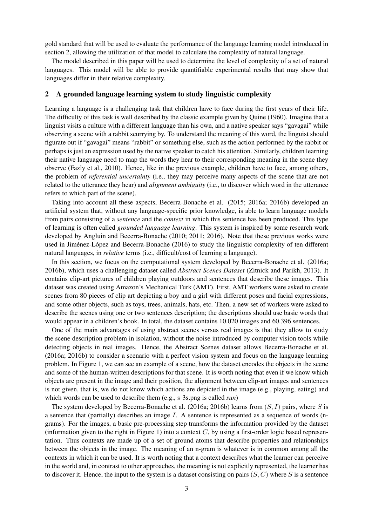gold standard that will be used to evaluate the performance of the language learning model introduced in section 2, allowing the utilization of that model to calculate the complexity of natural language.

The model described in this paper will be used to determine the level of complexity of a set of natural languages. This model will be able to provide quantifiable experimental results that may show that languages differ in their relative complexity.

#### 2 A grounded language learning system to study linguistic complexity

Learning a language is a challenging task that children have to face during the first years of their life. The difficulty of this task is well described by the classic example given by Quine (1960). Imagine that a linguist visits a culture with a different language than his own, and a native speaker says "gavagai" while observing a scene with a rabbit scurrying by. To understand the meaning of this word, the linguist should figurate out if "gavagai" means "rabbit" or something else, such as the action performed by the rabbit or perhaps is just an expression used by the native speaker to catch his attention. Similarly, children learning their native language need to map the words they hear to their corresponding meaning in the scene they observe (Fazly et al., 2010). Hence, like in the previous example, children have to face, among others, the problem of *referential uncertainty* (i.e., they may perceive many aspects of the scene that are not related to the utterance they hear) and *alignment ambiguity* (i.e., to discover which word in the utterance refers to which part of the scene).

Taking into account all these aspects, Becerra-Bonache et al. (2015; 2016a; 2016b) developed an artificial system that, without any language-specific prior knowledge, is able to learn language models from pairs consisting of a *sentence* and the *context* in which this sentence has been produced. This type of learning is often called *grounded language learning*. This system is inspired by some research work developed by Angluin and Becerra-Bonache (2010; 2011; 2016). Note that these previous works were used in Jiménez-López and Becerra-Bonache (2016) to study the linguistic complexity of ten different natural languages, in *relative* terms (i.e., difficult/cost of learning a language).

In this section, we focus on the computational system developed by Becerra-Bonache et al. (2016a; 2016b), which uses a challenging dataset called *Abstract Scenes Dataset* (Zitnick and Parikh, 2013). It contains clip-art pictures of children playing outdoors and sentences that describe these images. This dataset was created using Amazon's Mechanical Turk (AMT). First, AMT workers were asked to create scenes from 80 pieces of clip art depicting a boy and a girl with different poses and facial expressions, and some other objects, such as toys, trees, animals, hats, etc. Then, a new set of workers were asked to describe the scenes using one or two sentences description; the descriptions should use basic words that would appear in a children's book. In total, the dataset contains 10.020 images and 60.396 sentences.

One of the main advantages of using abstract scenes versus real images is that they allow to study the scene description problem in isolation, without the noise introduced by computer vision tools while detecting objects in real images. Hence, the Abstract Scenes dataset allows Becerra-Bonache et al. (2016a; 2016b) to consider a scenario with a perfect vision system and focus on the language learning problem. In Figure 1, we can see an example of a scene, how the dataset encodes the objects in the scene and some of the human-written descriptions for that scene. It is worth noting that even if we know which objects are present in the image and their position, the alignment between clip-art images and sentences is not given, that is, we do not know which actions are depicted in the image (e.g., playing, eating) and which words can be used to describe them (e.g., s<sub>-3s.png</sub> is called *sun*)

The system developed by Becerra-Bonache et al. (2016a; 2016b) learns from  $(S, I)$  pairs, where S is a sentence that (partially) describes an image I. A sentence is represented as a sequence of words (ngrams). For the images, a basic pre-processing step transforms the information provided by the dataset (information given to the right in Figure 1) into a context  $C$ , by using a first-order logic based representation. Thus contexts are made up of a set of ground atoms that describe properties and relationships between the objects in the image. The meaning of an n-gram is whatever is in common among all the contexts in which it can be used. It is worth noting that a context describes what the learner can perceive in the world and, in contrast to other approaches, the meaning is not explicitly represented, the learner has to discover it. Hence, the input to the system is a dataset consisting on pairs  $(S, C)$  where S is a sentence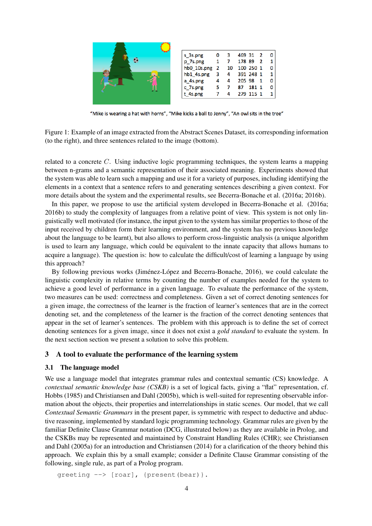

| ٥ | 3  |    | 2                          |                                              |
|---|----|----|----------------------------|----------------------------------------------|
| 1 |    |    | 2                          |                                              |
| 2 | 10 |    |                            |                                              |
| 3 | 4  |    |                            |                                              |
| 4 | 4  |    |                            |                                              |
| 5 |    | 87 |                            |                                              |
|   |    |    |                            |                                              |
|   |    |    | 469 31<br>178 89<br>205 98 | 100 250 1<br>391 248 1<br>181 1<br>279 115 1 |

"Mike is wearing a hat with horns", "Mike kicks a ball to Jenny", "An owl sits in the tree"

Figure 1: Example of an image extracted from the Abstract Scenes Dataset, its corresponding information (to the right), and three sentences related to the image (bottom).

related to a concrete  $C$ . Using inductive logic programming techniques, the system learns a mapping between n-grams and a semantic representation of their associated meaning. Experiments showed that the system was able to learn such a mapping and use it for a variety of purposes, including identifying the elements in a context that a sentence refers to and generating sentences describing a given context. For more details about the system and the experimental results, see Becerra-Bonache et al. (2016a; 2016b).

In this paper, we propose to use the artificial system developed in Becerra-Bonache et al. (2016a; 2016b) to study the complexity of languages from a relative point of view. This system is not only linguistically well motivated (for instance, the input given to the system has similar properties to those of the input received by children form their learning environment, and the system has no previous knowledge about the language to be learnt), but also allows to perform cross-linguistic analysis (a unique algorithm is used to learn any language, which could be equivalent to the innate capacity that allows humans to acquire a language). The question is: how to calculate the difficult/cost of learning a language by using this approach?

By following previous works (Jiménez-López and Becerra-Bonache, 2016), we could calculate the linguistic complexity in relative terms by counting the number of examples needed for the system to achieve a good level of performance in a given language. To evaluate the performance of the system, two measures can be used: correctness and completeness. Given a set of correct denoting sentences for a given image, the correctness of the learner is the fraction of learner's sentences that are in the correct denoting set, and the completeness of the learner is the fraction of the correct denoting sentences that appear in the set of learner's sentences. The problem with this approach is to define the set of correct denoting sentences for a given image, since it does not exist a *gold standard* to evaluate the system. In the next section section we present a solution to solve this problem.

## 3 A tool to evaluate the performance of the learning system

## 3.1 The language model

We use a language model that integrates grammar rules and contextual semantic (CS) knowledge. A *contextual semantic knowledge base (CSKB)* is a set of logical facts, giving a "flat" representation, cf. Hobbs (1985) and Christiansen and Dahl (2005b), which is well-suited for representing observable information about the objects, their properties and interrelationships in static scenes. Our model, that we call *Contextual Semantic Grammars* in the present paper, is symmetric with respect to deductive and abductive reasoning, implemented by standard logic programming technology. Grammar rules are given by the familiar Definite Clause Grammar notation (DCG, illustrated below) as they are available in Prolog, and the CSKBs may be represented and maintained by Constraint Handling Rules (CHR); see Christiansen and Dahl (2005a) for an introduction and Christiansen (2014) for a clarification of the theory behind this approach. We explain this by a small example; consider a Definite Clause Grammar consisting of the following, single rule, as part of a Prolog program.

```
greeting --> [roar], {present(bear)}.
```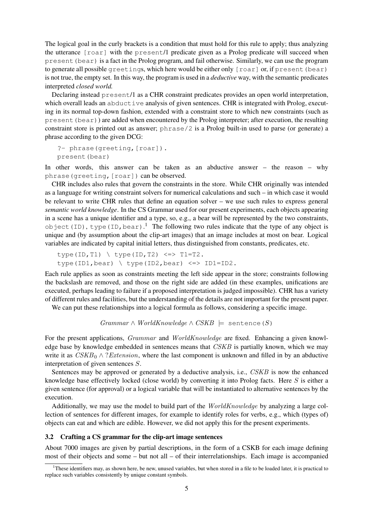The logical goal in the curly brackets is a condition that must hold for this rule to apply; thus analyzing the utterance [roar] with the present/1 predicate given as a Prolog predicate will succeed when present(bear) is a fact in the Prolog program, and fail otherwise. Similarly, we can use the program to generate all possible greetings, which here would be either only [roar] or, if present (bear) is not true, the empty set. In this way, the program is used in a *deductive* way, with the semantic predicates interpreted *closed world.*

Declaring instead present/1 as a CHR constraint predicates provides an open world interpretation, which overall leads an abductive analysis of given sentences. CHR is integrated with Prolog, executing in its normal top-down fashion, extended with a constraint store to which new constraints (such as  $p$ resent (bear)) are added when encountered by the Prolog interpreter; after execution, the resulting constraint store is printed out as answer; phrase/2 is a Prolog built-in used to parse (or generate) a phrase according to the given DCG:

```
?- phrase(greeting,[roar]).
present(bear)
```
In other words, this answer can be taken as an abductive answer – the reason – why phrase(greeting,[roar]) can be observed.

CHR includes also rules that govern the constraints in the store. While CHR originally was intended as a language for writing constraint solvers for numerical calculations and such – in which case it would be relevant to write CHR rules that define an equation solver – we use such rules to express general *semantic world knowledge*. In the CS Grammar used for our present experiments, each objects appearing in a scene has a unique identifier and a type, so, e.g., a bear will be represented by the two constraints, object (ID), type (ID, bear).<sup>1</sup> The following two rules indicate that the type of any object is unique and (by assumption about the clip-art images) that an image includes at most on bear. Logical variables are indicated by capital initial letters, thus distinguished from constants, predicates, etc.

type(ID,T1) \ type(ID,T2) <=> T1=T2. type(ID1,bear) \ type(ID2,bear) <=> ID1=ID2.

Each rule applies as soon as constraints meeting the left side appear in the store; constraints following the backslash are removed, and those on the right side are added (in these examples, unifications are executed, perhaps leading to failure if a proposed interpretation is judged impossible). CHR has a variety of different rules and facilities, but the understanding of the details are not important for the present paper.

We can put these relationships into a logical formula as follows, considering a specific image.

```
Grammar \land WorldKnowledge \land CSKB \models sentence (S)
```
For the present applications, *Grammar* and *WorldKnowledge* are fixed. Enhancing a given knowledge base by knowledge embedded in sentences means that CSKB is partially known, which we may write it as  $CSKB_0 \wedge$ ? *Extension*, where the last component is unknown and filled in by an abductive interpretation of given sentences S.

Sentences may be approved or generated by a deductive analysis, i.e., CSKB is now the enhanced knowledge base effectively locked (close world) by converting it into Prolog facts. Here S is either a given sentence (for approval) or a logical variable that will be instantiated to alternative sentences by the execution.

Additionally, we may use the model to build part of the *WorldKnowledge* by analyzing a large collection of sentences for different images, for example to identify roles for verbs, e.g., which (types of) objects can eat and which are edible. However, we did not apply this for the present experiments.

#### 3.2 Crafting a CS grammar for the clip-art image sentences

About 7000 images are given by partial descriptions, in the form of a CSKB for each image defining most of their objects and some – but not all – of their interrelationships. Each image is accompanied

<sup>&</sup>lt;sup>1</sup>These identifiers may, as shown here, be new, unused variables, but when stored in a file to be loaded later, it is practical to replace such variables consistently by unique constant symbols.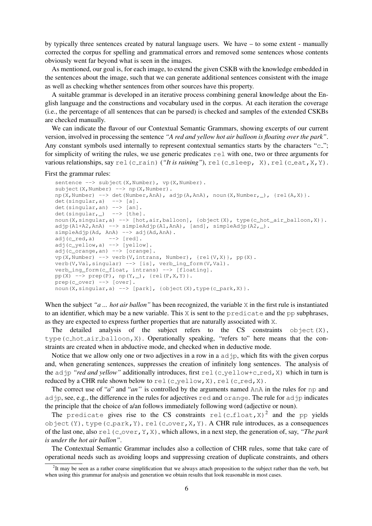by typically three sentences created by natural language users. We have – to some extent - manually corrected the corpus for spelling and grammatical errors and removed some sentences whose contents obviously went far beyond what is seen in the images.

As mentioned, our goal is, for each image, to extend the given CSKB with the knowledge embedded in the sentences about the image, such that we can generate additional sentences consistent with the image as well as checking whether sentences from other sources have this property.

A suitable grammar is developed in an iterative process combining general knowledge about the English language and the constructions and vocabulary used in the corpus. At each iteration the coverage (i.e., the percentage of all sentences that can be parsed) is checked and samples of the extended CSKBs are checked manually.

We can indicate the flavour of our Contextual Semantic Grammars, showing excerpts of our current version, involved in processing the sentence *"A red and yellow hot air balloon is floating over the park"*. Any constant symbols used internally to represent contextual semantics starts by the characters " $c$ "; for simplicity of writing the rules, we use generic predicates rel with one, two or three arguments for various relationships, say  $rel(c_{train})$  (*"It is raining"*), rel(c<sub>-sleep, X), rel(c-eat, X, Y).</sub>

#### First the grammar rules:

```
sentence --> subject(X,Number), vp(X,Number).
subject(X,Number) --> np(X,Number).
np(X,Number) \rightarrow \text{det}(Number, Ann), \text{adip}(A, Ann), \text{noun}(X, Number, \_), \{rel(A, X)\}.\det(singular, a) --> [a].
det(singular, an) --> [an].
det(singular, ) --> [the].
noun(X,singular,a) --> [hot,air,balloon], {object(X), type(c_hot_air_balloon,X)}.
\text{adjp}(A1+A2,AnA) \longrightarrow \text{simpleAdip}(A1,AnA), [\text{and}], \text{simpleAdjp}(A2, ...).
simpleAdjp(Ad, AnA) --> adj(Ad, AnA).
adj(c\_red, a) --> [red].adj(c_yellow,a) --> [yellow].
adj(c_orange,an) --> [orange].
vp(X,Number) --> verb(V,intrans, Number), {rel(V,X)}, pp(X).
verb(V,Val,singular) --> [is], verb_ing_form(V,Val).
verb_ing_form(c_float, intrans) --> [floating].
pp(X) \text{ --> prep(P), np(Y, _), [rel(P, X, Y)].}prep(c_over) --> [over].
noun(X,singular,a) --> [park], {object(X),type(c_park,X)}.
```
When the subject "*a* ... *hot air ballon*" has been recognized, the variable X in the first rule is instantiated to an identifier, which may be a new variable. This  $X$  is sent to the predicate and the pp subphrases, as they are expected to express further properties that are naturally associated with X.

The detailed analysis of the subject refers to the CS constraints object  $(X)$ , type(c hot air balloon,X). Operationally speaking, "refers to" here means that the constraints are created when in abductive mode, and checked when in deductive mode.

Notice that we allow only one or two adjectives in a row in a  $ad$   $\phi$ , which fits with the given corpus and, when generating sentences, suppresses the creation of infinitely long sentences. The analysis of the adjp "red and yellow" additionally introduces, first rel(c-yellow+c-red, X) which in turn is reduced by a CHR rule shown below to rel(c\_yellow, X), rel(c\_red, X).

The correct use of "*a*" and "*an*" is controlled by the arguments named AnA in the rules for np and adjp, see, e.g., the difference in the rules for adjectives red and orange. The rule for adjp indicates the principle that the choice of a/an follows immediately following word (adjective or noun).

The predicate gives rise to the CS constraints rel(c\_float, X)<sup>2</sup> and the pp yields object  $(Y)$ , type (c\_park, Y), rel(c\_over, X, Y). A CHR rule introduces, as a consequences of the last one, also rel (c over, Y, X), which allows, in a next step, the generation of, say, *"The park is under the hot air ballon"*.

The Contextual Semantic Grammar includes also a collection of CHR rules, some that take care of operational needs such as avoiding loops and suppressing creation of duplicate constraints, and others

 ${}^{2}$ It may be seen as a rather coarse simplification that we always attach proposition to the subject rather than the verb, but when using this grammar for analysis and generation we obtain results that look reasonable in most cases.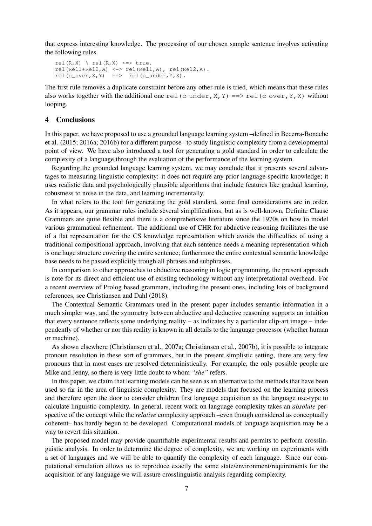that express interesting knowledge. The processing of our chosen sample sentence involves activating the following rules.

```
rel(R, X) \ rel(R, X) <=> true.
rel(Rel1+Rel2,A) <=> rel(Rel1,A), rel(Rel2,A).
rel(c\_over,X,Y) ==> rel(c\_under,Y,X).
```
The first rule removes a duplicate constraint before any other rule is tried, which means that these rules also works together with the additional one rel(c under, X, Y) = > rel(c over, Y, X) without looping.

### 4 Conclusions

In this paper, we have proposed to use a grounded language learning system –defined in Becerra-Bonache et al. (2015; 2016a; 2016b) for a different purpose– to study linguistic complexity from a developmental point of view. We have also introduced a tool for generating a gold standard in order to calculate the complexity of a language through the evaluation of the performance of the learning system.

Regarding the grounded language learning system, we may conclude that it presents several advantages to measuring linguistic complexity: it does not require any prior language-specific knowledge; it uses realistic data and psychologically plausible algorithms that include features like gradual learning, robustness to noise in the data, and learning incrementally.

In what refers to the tool for generating the gold standard, some final considerations are in order. As it appears, our grammar rules include several simplifications, but as is well-known, Definite Clause Grammars are quite flexible and there is a comprehensive literature since the 1970s on how to model various grammatical refinement. The additional use of CHR for abductive reasoning facilitates the use of a flat representation for the CS knowledge representation which avoids the difficulties of using a traditional compositional approach, involving that each sentence needs a meaning representation which is one huge structure covering the entire sentence; furthermore the entire contextual semantic knowledge base needs to be passed explicitly trough all phrases and subphrases.

In comparison to other approaches to abductive reasoning in logic programming, the present approach is note for its direct and efficient use of existing technology without any interpretational overhead. For a recent overview of Prolog based grammars, including the present ones, including lots of background references, see Christiansen and Dahl (2018).

The Contextual Semantic Grammars used in the present paper includes semantic information in a much simpler way, and the symmetry between abductive and deductive reasoning supports an intuition that every sentence reflects some underlying reality – as indicates by a particular clip-art image – independently of whether or nor this reality is known in all details to the language processor (whether human or machine).

As shown elsewhere (Christiansen et al., 2007a; Christiansen et al., 2007b), it is possible to integrate pronoun resolution in these sort of grammars, but in the present simplistic setting, there are very few pronouns that in most cases are resolved deterministically. For example, the only possible people are Mike and Jenny, so there is very little doubt to whom *"she"* refers.

In this paper, we claim that learning models can be seen as an alternative to the methods that have been used so far in the area of linguistic complexity. They are models that focused on the learning process and therefore open the door to consider children first language acquisition as the language use-type to calculate linguistic complexity. In general, recent work on language complexity takes an *absolute* perspective of the concept while the *relative* complexity approach –even though considered as conceptually coherent– has hardly begun to be developed. Computational models of language acquisition may be a way to revert this situation.

The proposed model may provide quantifiable experimental results and permits to perform crosslinguistic analysis. In order to determine the degree of complexity, we are working on experiments with a set of languages and we will be able to quantify the complexity of each language. Since our computational simulation allows us to reproduce exactly the same state/environment/requirements for the acquisition of any language we will assure crosslinguistic analysis regarding complexity.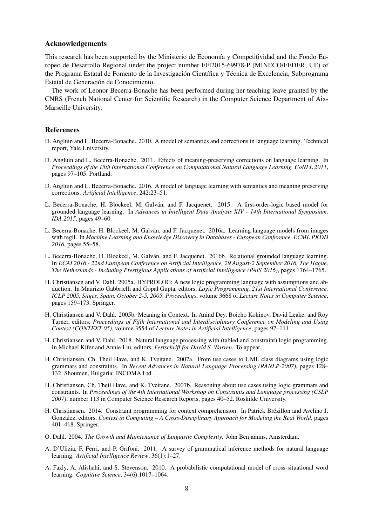#### Acknowledgements

This research has been supported by the Ministerio de Economía y Competitividad and the Fondo Europeo de Desarrollo Regional under the project number FFI2015-69978-P (MINECO/FEDER, UE) of the Programa Estatal de Fomento de la Investigación Científica y Técnica de Excelencia, Subprograma Estatal de Generación de Conocimiento.

The work of Leonor Becerra-Bonache has been performed during her teaching leave granted by the CNRS (French National Center for Scientific Research) in the Computer Science Department of Aix-Marseille University.

#### References

- D. Angluin and L. Becerra-Bonache. 2010. A model of semantics and corrections in language learning. Technical report, Yale University.
- D. Angluin and L. Becerra-Bonache. 2011. Effects of meaning-preserving corrections on language learning. In *Proceedings of the 15th International Conference on Computational Natural Language Learning, CoNLL 2011*, pages 97–105. Portland.
- D. Angluin and L. Becerra-Bonache. 2016. A model of language learning with semantics and meaning preserving corrections. *Artificial Intelligence*, 242:23–51.
- L. Becerra-Bonache, H. Blockeel, M. Galvan, and F. Jacquenet. 2015. A first-order-logic based model for ´ grounded language learning. In *Advances in Intelligent Data Analysis XIV - 14th International Symposium, IDA 2015*, pages 49–60.
- L. Becerra-Bonache, H. Blockeel, M. Galvan, and F. Jacquenet. 2016a. Learning language models from images ´ with regll. In *Machine Learning and Knowledge Discovery in Databases - European Conference, ECML PKDD 2016*, pages 55–58.
- L. Becerra-Bonache, H. Blockeel, M. Galvan, and F. Jacquenet. 2016b. Relational grounded language learning. ´ In *ECAI 2016 - 22nd European Conference on Artificial Intelligence, 29 August-2 September 2016, The Hague, The Netherlands - Including Prestigious Applications of Artificial Intelligence (PAIS 2016)*, pages 1764–1765.
- H. Christiansen and V. Dahl. 2005a. HYPROLOG: A new logic programming language with assumptions and abduction. In Maurizio Gabbrielli and Gopal Gupta, editors, *Logic Programming, 21st International Conference, ICLP 2005, Sitges, Spain, October 2-5, 2005, Proceedings*, volume 3668 of *Lecture Notes in Computer Science*, pages 159–173. Springer.
- H. Christiansen and V. Dahl. 2005b. Meaning in Context. In Anind Dey, Boicho Kokinov, David Leake, and Roy Turner, editors, *Proceedings of Fifth International and Interdisciplinary Conference on Modeling and Using Context (CONTEXT-05)*, volume 3554 of *Lecture Notes in Artificial Intelligence*, pages 97–111.
- H. Christiansen and V. Dahl. 2018. Natural language processing with (tabled and constraint) logic programming. In Michael Kifer and Annie Liu, editors, *Festschrift for David S. Warren*. To appear.
- H. Christiansen, Ch. Theil Have, and K. Tveitane. 2007a. From use cases to UML class diagrams using logic grammars and constraints. In *Recent Advances in Natural Language Processing (RANLP-2007)*, pages 128– 132. Shoumen, Bulgaria: INCOMA Ltd.
- H. Christiansen, Ch. Theil Have, and K. Tveitane. 2007b. Reasoning about use cases using logic grammars and constraints. In *Proceedings of the 4th International Workshop on Constraints and Language processing (CSLP 2007)*, number 113 in Computer Science Research Reports, pages 40–52. Roskilde University.
- H. Christiansen. 2014. Constraint programming for context comprehension. In Patrick Brezillon and Avelino J. ´ Gonzalez, editors, *Context in Computing – A Cross-Disciplinary Approach for Modeling the Real World*, pages 401–418. Springer.
- O. Dahl. 2004. *The Growth and Maintenance of Linguistic Complexity*. John Benjamins, Amsterdam.
- A. D'Ulizia, F. Ferri, and P. Grifoni. 2011. A survey of grammatical inference methods for natural language learning. *Artificial Intelligence Review*, 36(1):1–27.
- A. Fazly, A. Alishahi, and S. Stevenson. 2010. A probabilistic computational model of cross-situational word learning. *Cognitive Science*, 34(6):1017–1064.